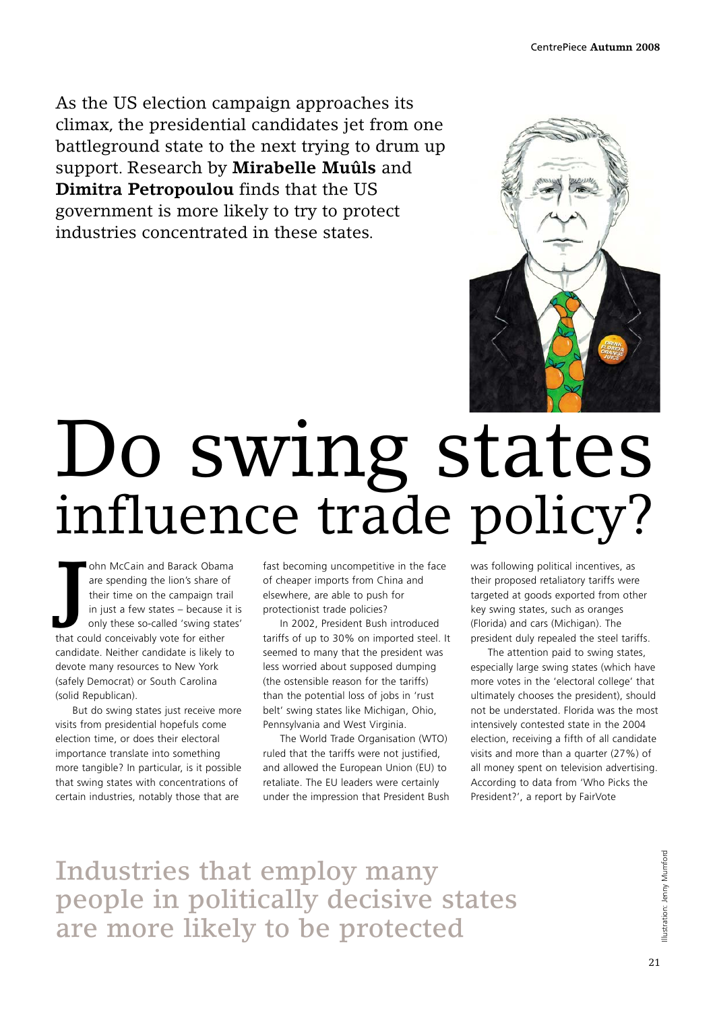As the US election campaign approaches its climax, the presidential candidates jet from one battleground state to the next trying to drum up support. Research by **Mirabelle Muûls** and **Dimitra Petropoulou** finds that the US government is more likely to try to protect industries concentrated in these states.



## Do swing states influence trade policy?

**J** ohn McCain and Barack Obama are spending the lion's share of their time on the campaign trail in just a few states – because it is only these so-called 'swing states' that could conceivably vote for either candidate. Neither candidate is likely to devote many resources to New York (safely Democrat) or South Carolina (solid Republican).

But do swing states just receive more visits from presidential hopefuls come election time, or does their electoral importance translate into something more tangible? In particular, is it possible that swing states with concentrations of certain industries, notably those that are

fast becoming uncompetitive in the face of cheaper imports from China and elsewhere, are able to push for protectionist trade policies?

In 2002, President Bush introduced tariffs of up to 30% on imported steel. It seemed to many that the president was less worried about supposed dumping (the ostensible reason for the tariffs) than the potential loss of jobs in 'rust belt' swing states like Michigan, Ohio, Pennsylvania and West Virginia.

The World Trade Organisation (WTO) ruled that the tariffs were not justified, and allowed the European Union (EU) to retaliate. The EU leaders were certainly under the impression that President Bush

was following political incentives, as their proposed retaliatory tariffs were targeted at goods exported from other key swing states, such as oranges (Florida) and cars (Michigan). The president duly repealed the steel tariffs.

The attention paid to swing states, especially large swing states (which have more votes in the 'electoral college' that ultimately chooses the president), should not be understated. Florida was the most intensively contested state in the 2004 election, receiving a fifth of all candidate visits and more than a quarter (27%) of all money spent on television advertising. According to data from 'Who Picks the President?', a report by FairVote

Industries that employ many people in politically decisive states are more likely to be protected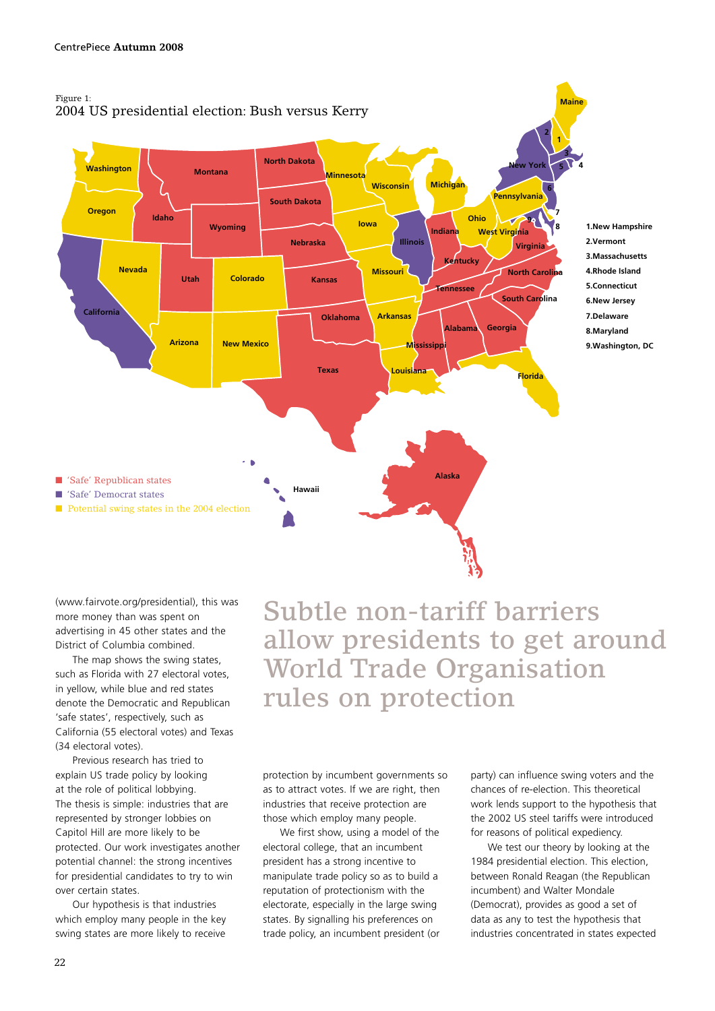

(www.fairvote.org/presidential), this was more money than was spent on advertising in 45 other states and the District of Columbia combined.

The map shows the swing states, such as Florida with 27 electoral votes, in yellow, while blue and red states denote the Democratic and Republican 'safe states', respectively, such as California (55 electoral votes) and Texas (34 electoral votes).

Previous research has tried to explain US trade policy by looking at the role of political lobbying. The thesis is simple: industries that are represented by stronger lobbies on Capitol Hill are more likely to be protected. Our work investigates another potential channel: the strong incentives for presidential candidates to try to win over certain states.

Our hypothesis is that industries which employ many people in the key swing states are more likely to receive

Subtle non-tariff barriers allow presidents to get around World Trade Organisation rules on protection

protection by incumbent governments so as to attract votes. If we are right, then industries that receive protection are those which employ many people.

We first show, using a model of the electoral college, that an incumbent president has a strong incentive to manipulate trade policy so as to build a reputation of protectionism with the electorate, especially in the large swing states. By signalling his preferences on trade policy, an incumbent president (or

party) can influence swing voters and the chances of re-election. This theoretical work lends support to the hypothesis that the 2002 US steel tariffs were introduced for reasons of political expediency.

We test our theory by looking at the 1984 presidential election. This election, between Ronald Reagan (the Republican incumbent) and Walter Mondale (Democrat), provides as good a set of data as any to test the hypothesis that industries concentrated in states expected